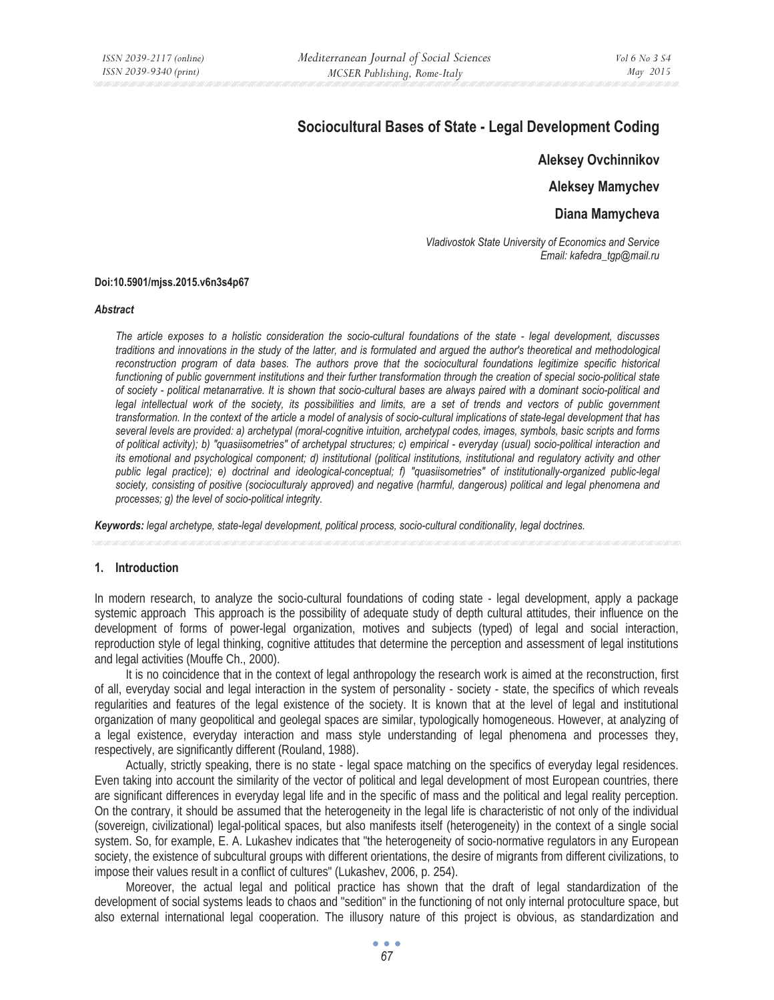# **Sociocultural Bases of State - Legal Development Coding**

**Aleksey Ovchinnikov** 

**Aleksey Mamychev** 

**Diana Mamycheva** 

*Vladivostok State University of Economics and Service Email: kafedra\_tgp@mail.ru* 

#### **Doi:10.5901/mjss.2015.v6n3s4p67**

#### *Abstract*

*The article exposes to a holistic consideration the socio-cultural foundations of the state - legal development, discusses traditions and innovations in the study of the latter, and is formulated and argued the author's theoretical and methodological reconstruction program of data bases. The authors prove that the sociocultural foundations legitimize specific historical functioning of public government institutions and their further transformation through the creation of special socio-political state of society - political metanarrative. It is shown that socio-cultural bases are always paired with a dominant socio-political and*  legal intellectual work of the society, its possibilities and limits, are a set of trends and vectors of public government *transformation. In the context of the article a model of analysis of socio-cultural implications of state-legal development that has several levels are provided: a) archetypal (moral-cognitive intuition, archetypal codes, images, symbols, basic scripts and forms of political activity); b) "quasiisometries" of archetypal structures; c) empirical - everyday (usual) socio-political interaction and its emotional and psychological component; d) institutional (political institutions, institutional and regulatory activity and other public legal practice); e) doctrinal and ideological-conceptual; f) "quasiisometries" of institutionally-organized public-legal society, consisting of positive (socioculturaly approved) and negative (harmful, dangerous) political and legal phenomena and processes; g) the level of socio-political integrity.* 

*Keywords: legal archetype, state-legal development, political process, socio-cultural conditionality, legal doctrines.*

### **1. Introduction**

In modern research, to analyze the socio-cultural foundations of coding state - legal development, apply a package systemic approach This approach is the possibility of adequate study of depth cultural attitudes, their influence on the development of forms of power-legal organization, motives and subjects (typed) of legal and social interaction, reproduction style of legal thinking, cognitive attitudes that determine the perception and assessment of legal institutions and legal activities (Mouffe Ch., 2000).

It is no coincidence that in the context of legal anthropology the research work is aimed at the reconstruction, first of all, everyday social and legal interaction in the system of personality - society - state, the specifics of which reveals regularities and features of the legal existence of the society. It is known that at the level of legal and institutional organization of many geopolitical and geolegal spaces are similar, typologically homogeneous. However, at analyzing of a legal existence, everyday interaction and mass style understanding of legal phenomena and processes they, respectively, are significantly different (Rouland, 1988).

Actually, strictly speaking, there is no state - legal space matching on the specifics of everyday legal residences. Even taking into account the similarity of the vector of political and legal development of most European countries, there are significant differences in everyday legal life and in the specific of mass and the political and legal reality perception. On the contrary, it should be assumed that the heterogeneity in the legal life is characteristic of not only of the individual (sovereign, civilizational) legal-political spaces, but also manifests itself (heterogeneity) in the context of a single social system. So, for example, E. A. Lukashev indicates that "the heterogeneity of socio-normative regulators in any European society, the existence of subcultural groups with different orientations, the desire of migrants from different civilizations, to impose their values result in a conflict of cultures" (Lukashev, 2006, p. 254).

Moreover, the actual legal and political practice has shown that the draft of legal standardization of the development of social systems leads to chaos and "sedition" in the functioning of not only internal protoculture space, but also external international legal cooperation. The illusory nature of this project is obvious, as standardization and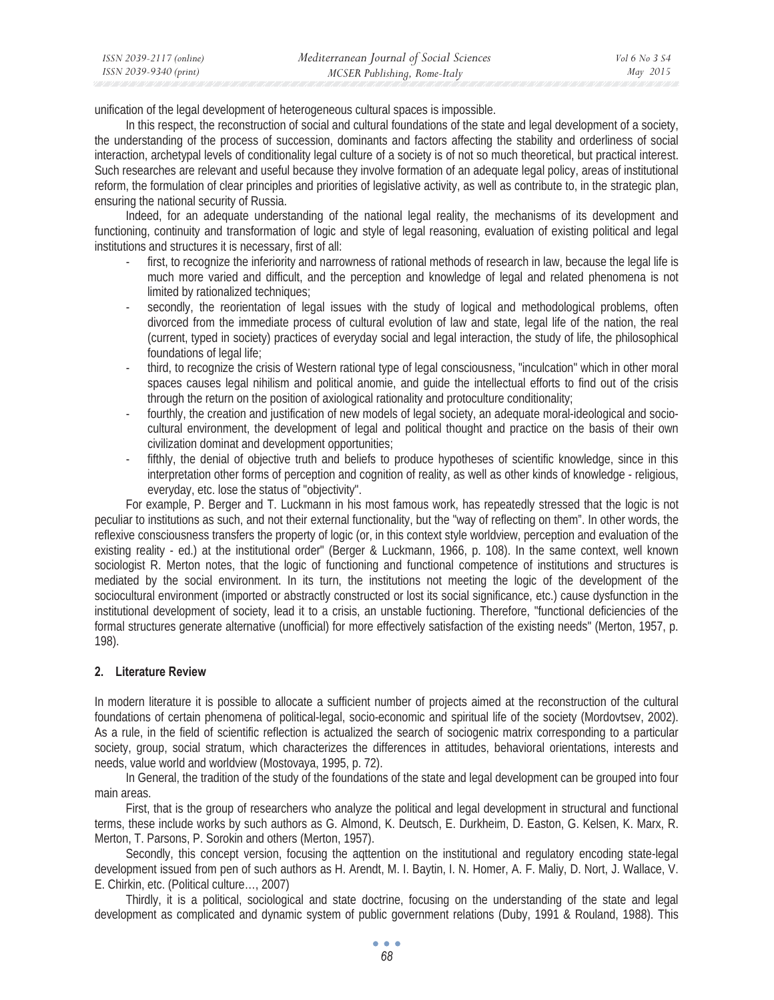| ISSN 2039-2117 (online) | Mediterranean Journal of Social Sciences | Vol 6 No 3 S4 |
|-------------------------|------------------------------------------|---------------|
| ISSN 2039-9340 (print)  | MCSER Publishing, Rome-Italy             | May 2015      |

unification of the legal development of heterogeneous cultural spaces is impossible.

In this respect, the reconstruction of social and cultural foundations of the state and legal development of a society, the understanding of the process of succession, dominants and factors affecting the stability and orderliness of social interaction, archetypal levels of conditionality legal culture of a society is of not so much theoretical, but practical interest. Such researches are relevant and useful because they involve formation of an adequate legal policy, areas of institutional reform, the formulation of clear principles and priorities of legislative activity, as well as contribute to, in the strategic plan, ensuring the national security of Russia.

Indeed, for an adequate understanding of the national legal reality, the mechanisms of its development and functioning, continuity and transformation of logic and style of legal reasoning, evaluation of existing political and legal institutions and structures it is necessary, first of all:

- first, to recognize the inferiority and narrowness of rational methods of research in law, because the legal life is much more varied and difficult, and the perception and knowledge of legal and related phenomena is not limited by rationalized techniques;
- secondly, the reorientation of legal issues with the study of logical and methodological problems, often divorced from the immediate process of cultural evolution of law and state, legal life of the nation, the real (current, typed in society) practices of everyday social and legal interaction, the study of life, the philosophical foundations of legal life;
- third, to recognize the crisis of Western rational type of legal consciousness, "inculcation" which in other moral spaces causes legal nihilism and political anomie, and guide the intellectual efforts to find out of the crisis through the return on the position of axiological rationality and protoculture conditionality;
- fourthly, the creation and justification of new models of legal society, an adequate moral-ideological and sociocultural environment, the development of legal and political thought and practice on the basis of their own civilization dominat and development opportunities;
- fifthly, the denial of objective truth and beliefs to produce hypotheses of scientific knowledge, since in this interpretation other forms of perception and cognition of reality, as well as other kinds of knowledge - religious, everyday, etc. lose the status of "objectivity".

For example, P. Berger and T. Luckmann in his most famous work, has repeatedly stressed that the logic is not peculiar to institutions as such, and not their external functionality, but the "way of reflecting on them". In other words, the reflexive consciousness transfers the property of logic (or, in this context style worldview, perception and evaluation of the existing reality - ed.) at the institutional order" (Berger & Luckmann, 1966, p. 108). In the same context, well known sociologist R. Merton notes, that the logic of functioning and functional competence of institutions and structures is mediated by the social environment. In its turn, the institutions not meeting the logic of the development of the sociocultural environment (imported or abstractly constructed or lost its social significance, etc.) cause dysfunction in the institutional development of society, lead it to a crisis, an unstable fuctioning. Therefore, "functional deficiencies of the formal structures generate alternative (unofficial) for more effectively satisfaction of the existing needs" (Merton, 1957, p. 198).

### **2. Literature Review**

In modern literature it is possible to allocate a sufficient number of projects aimed at the reconstruction of the cultural foundations of certain phenomena of political-legal, socio-economic and spiritual life of the society (Mordovtsev, 2002). As a rule, in the field of scientific reflection is actualized the search of sociogenic matrix corresponding to a particular society, group, social stratum, which characterizes the differences in attitudes, behavioral orientations, interests and needs, value world and worldview (Mostovaya, 1995, p. 72).

In General, the tradition of the study of the foundations of the state and legal development can be grouped into four main areas.

First, that is the group of researchers who analyze the political and legal development in structural and functional terms, these include works by such authors as G. Almond, K. Deutsch, E. Durkheim, D. Easton, G. Kelsen, K. Marx, R. Merton, T. Parsons, P. Sorokin and others (Merton, 1957).

Secondly, this concept version, focusing the aqttention on the institutional and regulatory encoding state-legal development issued from pen of such authors as H. Arendt, M. I. Baytin, I. N. Homer, A. F. Maliy, D. Nort, J. Wallace, V. E. Chirkin, etc. (Political culture…, 2007)

Thirdly, it is a political, sociological and state doctrine, focusing on the understanding of the state and legal development as complicated and dynamic system of public government relations (Duby, 1991 & Rouland, 1988). This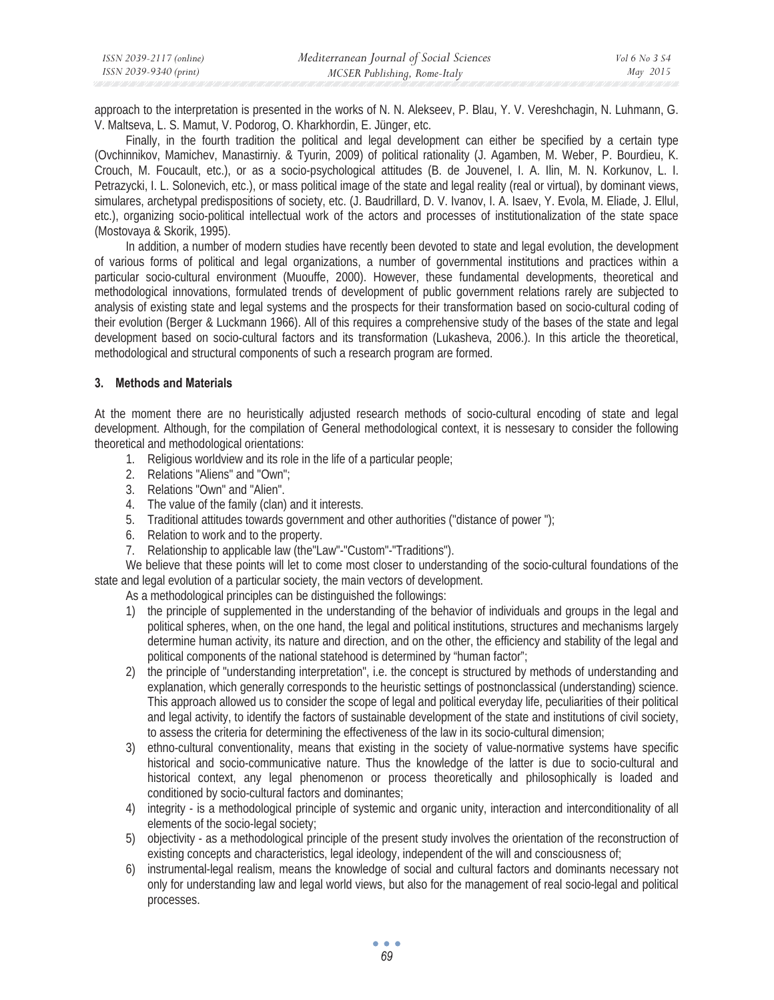| ISSN 2039-2117 (online) | Mediterranean Journal of Social Sciences | Vol 6 No 3 S4 |
|-------------------------|------------------------------------------|---------------|
| ISSN 2039-9340 (print)  | MCSER Publishing, Rome-Italy             | May 2015      |

approach to the interpretation is presented in the works of N. N. Alekseev, P. Blau, Y. V. Vereshchagin, N. Luhmann, G. V. Maltseva, L. S. Mamut, V. Podorog, O. Kharkhordin, E. Jünger, etc.

Finally, in the fourth tradition the political and legal development can either be specified by a certain type (Ovchinnikov, Mamichev, Manastirniy. & Tyurin, 2009) of political rationality (J. Agamben, M. Weber, P. Bourdieu, K. Crouch, M. Foucault, etc.), or as a socio-psychological attitudes (B. de Jouvenel, I. A. Ilin, M. N. Korkunov, L. I. Petrazycki, I. L. Solonevich, etc.), or mass political image of the state and legal reality (real or virtual), by dominant views, simulares, archetypal predispositions of society, etc. (J. Baudrillard, D. V. Ivanov, I. A. Isaev, Y. Evola, M. Eliade, J. Ellul, etc.), organizing socio-political intellectual work of the actors and processes of institutionalization of the state space (Mostovaya & Skorik, 1995).

In addition, a number of modern studies have recently been devoted to state and legal evolution, the development of various forms of political and legal organizations, a number of governmental institutions and practices within a particular socio-cultural environment (Muouffe, 2000). However, these fundamental developments, theoretical and methodological innovations, formulated trends of development of public government relations rarely are subjected to analysis of existing state and legal systems and the prospects for their transformation based on socio-cultural coding of their evolution (Berger & Luckmann 1966). All of this requires a comprehensive study of the bases of the state and legal development based on socio-cultural factors and its transformation (Lukasheva, 2006.). In this article the theoretical, methodological and structural components of such a research program are formed.

# **3. Methods and Materials**

At the moment there are no heuristically adjusted research methods of socio-cultural encoding of state and legal development. Although, for the compilation of General methodological context, it is nessesary to consider the following theoretical and methodological orientations:

- 1. Religious worldview and its role in the life of a particular people;
- 2. Relations "Aliens" and "Own";
- 3. Relations "Own" and "Alien".
- 4. The value of the family (clan) and it interests.
- 5. Traditional attitudes towards government and other authorities ("distance of power ");
- 6. Relation to work and to the property.
- 7. Relationship to applicable law (the"Law"-"Custom"-"Traditions").

We believe that these points will let to come most closer to understanding of the socio-cultural foundations of the state and legal evolution of a particular society, the main vectors of development.

As a methodological principles can be distinguished the followings:

- 1) the principle of supplemented in the understanding of the behavior of individuals and groups in the legal and political spheres, when, on the one hand, the legal and political institutions, structures and mechanisms largely determine human activity, its nature and direction, and on the other, the efficiency and stability of the legal and political components of the national statehood is determined by "human factor";
- 2) the principle of "understanding interpretation", i.e. the concept is structured by methods of understanding and explanation, which generally corresponds to the heuristic settings of postnonclassical (understanding) science. This approach allowed us to consider the scope of legal and political everyday life, peculiarities of their political and legal activity, to identify the factors of sustainable development of the state and institutions of civil society, to assess the criteria for determining the effectiveness of the law in its socio-cultural dimension;
- 3) ethno-cultural conventionality, means that existing in the society of value-normative systems have specific historical and socio-communicative nature. Thus the knowledge of the latter is due to socio-cultural and historical context, any legal phenomenon or process theoretically and philosophically is loaded and conditioned by socio-cultural factors and dominantes;
- 4) integrity is a methodological principle of systemic and organic unity, interaction and interconditionality of all elements of the socio-legal society;
- 5) objectivity as a methodological principle of the present study involves the orientation of the reconstruction of existing concepts and characteristics, legal ideology, independent of the will and consciousness of;
- 6) instrumental-legal realism, means the knowledge of social and cultural factors and dominants necessary not only for understanding law and legal world views, but also for the management of real socio-legal and political processes.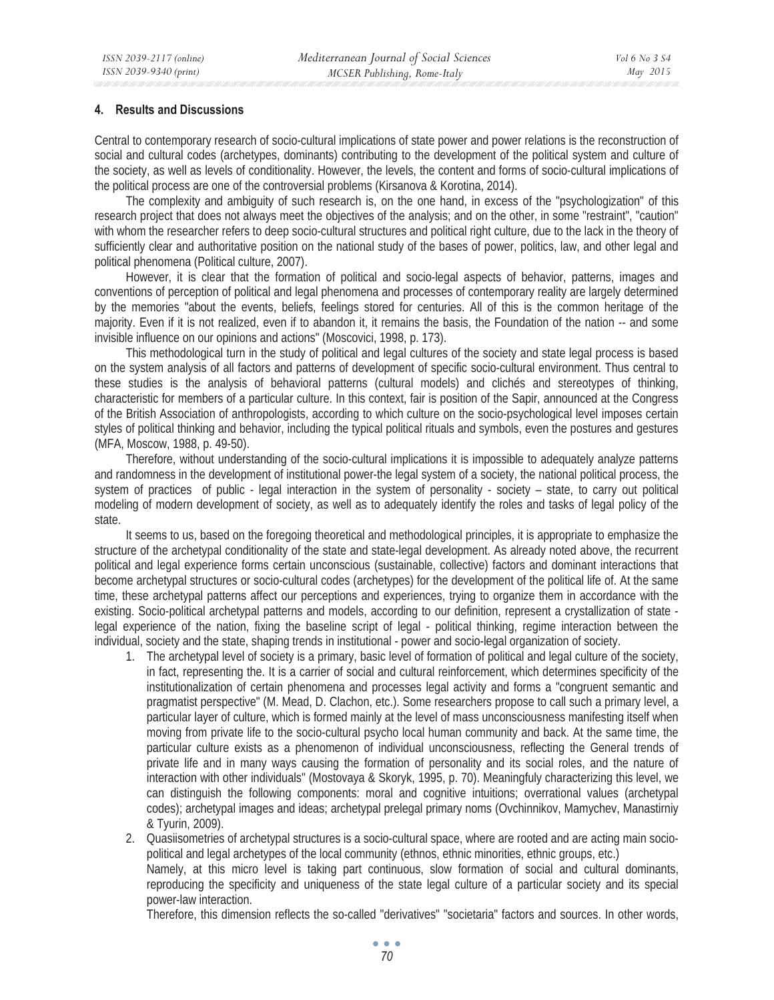### **4. Results and Discussions**

Central to contemporary research of socio-cultural implications of state power and power relations is the reconstruction of social and cultural codes (archetypes, dominants) contributing to the development of the political system and culture of the society, as well as levels of conditionality. However, the levels, the content and forms of socio-cultural implications of the political process are one of the controversial problems (Kirsanova & Korotina, 2014).

The complexity and ambiguity of such research is, on the one hand, in excess of the "psychologization" of this research project that does not always meet the objectives of the analysis; and on the other, in some "restraint", "caution" with whom the researcher refers to deep socio-cultural structures and political right culture, due to the lack in the theory of sufficiently clear and authoritative position on the national study of the bases of power, politics, law, and other legal and political phenomena (Political culture, 2007).

However, it is clear that the formation of political and socio-legal aspects of behavior, patterns, images and conventions of perception of political and legal phenomena and processes of contemporary reality are largely determined by the memories "about the events, beliefs, feelings stored for centuries. All of this is the common heritage of the majority. Even if it is not realized, even if to abandon it, it remains the basis, the Foundation of the nation -- and some invisible influence on our opinions and actions" (Moscovici, 1998, p. 173).

This methodological turn in the study of political and legal cultures of the society and state legal process is based on the system analysis of all factors and patterns of development of specific socio-cultural environment. Thus central to these studies is the analysis of behavioral patterns (cultural models) and clichés and stereotypes of thinking, characteristic for members of a particular culture. In this context, fair is position of the Sapir, announced at the Congress of the British Association of anthropologists, according to which culture on the socio-psychological level imposes certain styles of political thinking and behavior, including the typical political rituals and symbols, even the postures and gestures (MFA, Moscow, 1988, p. 49-50).

Therefore, without understanding of the socio-cultural implications it is impossible to adequately analyze patterns and randomness in the development of institutional power-the legal system of a society, the national political process, the system of practices of public - legal interaction in the system of personality - society – state, to carry out political modeling of modern development of society, as well as to adequately identify the roles and tasks of legal policy of the state.

It seems to us, based on the foregoing theoretical and methodological principles, it is appropriate to emphasize the structure of the archetypal conditionality of the state and state-legal development. As already noted above, the recurrent political and legal experience forms certain unconscious (sustainable, collective) factors and dominant interactions that become archetypal structures or socio-cultural codes (archetypes) for the development of the political life of. At the same time, these archetypal patterns affect our perceptions and experiences, trying to organize them in accordance with the existing. Socio-political archetypal patterns and models, according to our definition, represent a crystallization of state legal experience of the nation, fixing the baseline script of legal - political thinking, regime interaction between the individual, society and the state, shaping trends in institutional - power and socio-legal organization of society.

- 1. The archetypal level of society is a primary, basic level of formation of political and legal culture of the society, in fact, representing the. It is a carrier of social and cultural reinforcement, which determines specificity of the institutionalization of certain phenomena and processes legal activity and forms a "congruent semantic and pragmatist perspective" (M. Mead, D. Clachon, etc.). Some researchers propose to call such a primary level, a particular layer of culture, which is formed mainly at the level of mass unconsciousness manifesting itself when moving from private life to the socio-cultural psycho local human community and back. At the same time, the particular culture exists as a phenomenon of individual unconsciousness, reflecting the General trends of private life and in many ways causing the formation of personality and its social roles, and the nature of interaction with other individuals" (Mostovaya & Skoryk, 1995, p. 70). Meaningfuly characterizing this level, we can distinguish the following components: moral and cognitive intuitions; overrational values (archetypal codes); archetypal images and ideas; archetypal prelegal primary noms (Ovchinnikov, Mamychev, Manastirniy & Tyurin, 2009).
- 2. Quasiisometries of archetypal structures is a socio-cultural space, where are rooted and are acting main sociopolitical and legal archetypes of the local community (ethnos, ethnic minorities, ethnic groups, etc.) Namely, at this micro level is taking part continuous, slow formation of social and cultural dominants, reproducing the specificity and uniqueness of the state legal culture of a particular society and its special power-law interaction.

Therefore, this dimension reflects the so-called "derivatives" "societaria" factors and sources. In other words,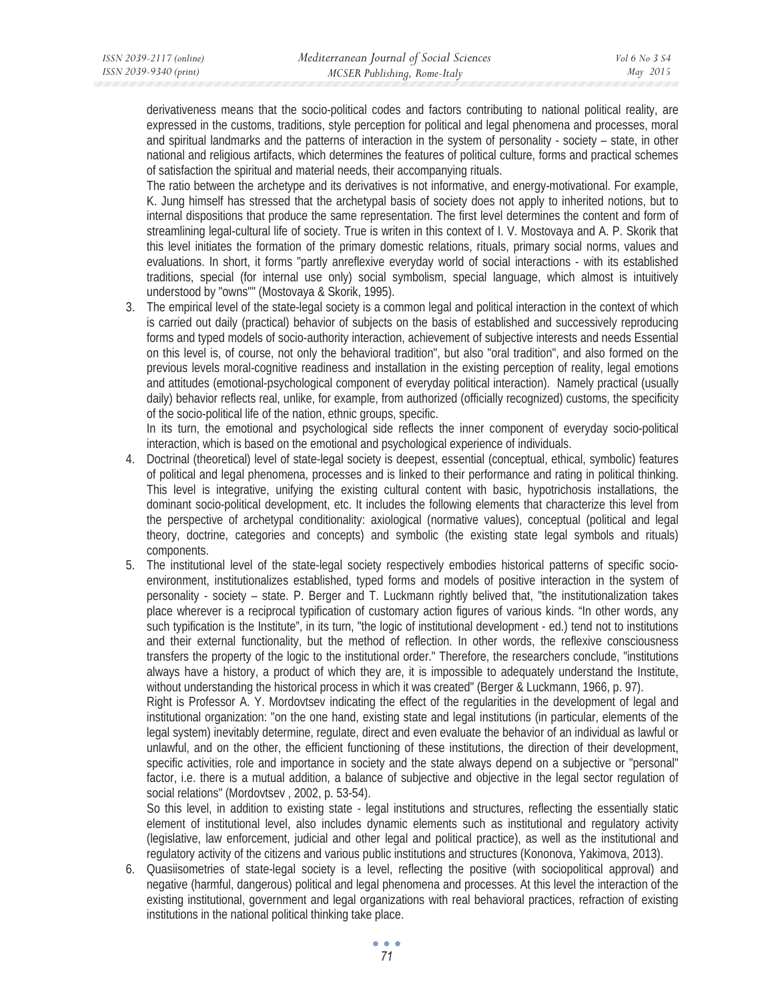derivativeness means that the socio-political codes and factors contributing to national political reality, are expressed in the customs, traditions, style perception for political and legal phenomena and processes, moral and spiritual landmarks and the patterns of interaction in the system of personality - society – state, in other national and religious artifacts, which determines the features of political culture, forms and practical schemes of satisfaction the spiritual and material needs, their accompanying rituals.

The ratio between the archetype and its derivatives is not informative, and energy-motivational. For example, K. Jung himself has stressed that the archetypal basis of society does not apply to inherited notions, but to internal dispositions that produce the same representation. The first level determines the content and form of streamlining legal-cultural life of society. True is writen in this context of I. V. Mostovaya and A. P. Skorik that this level initiates the formation of the primary domestic relations, rituals, primary social norms, values and evaluations. In short, it forms "partly anreflexive everyday world of social interactions - with its established traditions, special (for internal use only) social symbolism, special language, which almost is intuitively understood by "owns"" (Mostovaya & Skorik, 1995).

3. The empirical level of the state-legal society is a common legal and political interaction in the context of which is carried out daily (practical) behavior of subjects on the basis of established and successively reproducing forms and typed models of socio-authority interaction, achievement of subjective interests and needs Essential on this level is, of course, not only the behavioral tradition", but also "oral tradition", and also formed on the previous levels moral-cognitive readiness and installation in the existing perception of reality, legal emotions and attitudes (emotional-psychological component of everyday political interaction). Namely practical (usually daily) behavior reflects real, unlike, for example, from authorized (officially recognized) customs, the specificity of the socio-political life of the nation, ethnic groups, specific.

In its turn, the emotional and psychological side reflects the inner component of everyday socio-political interaction, which is based on the emotional and psychological experience of individuals.

- 4. Doctrinal (theoretical) level of state-legal society is deepest, essential (conceptual, ethical, symbolic) features of political and legal phenomena, processes and is linked to their performance and rating in political thinking. This level is integrative, unifying the existing cultural content with basic, hypotrichosis installations, the dominant socio-political development, etc. It includes the following elements that characterize this level from the perspective of archetypal conditionality: axiological (normative values), conceptual (political and legal theory, doctrine, categories and concepts) and symbolic (the existing state legal symbols and rituals) components.
- 5. The institutional level of the state-legal society respectively embodies historical patterns of specific socioenvironment, institutionalizes established, typed forms and models of positive interaction in the system of personality - society – state. P. Berger and T. Luckmann rightly belived that, "the institutionalization takes place wherever is a reciprocal typification of customary action figures of various kinds. "In other words, any such typification is the Institute", in its turn, "the logic of institutional development - ed.) tend not to institutions and their external functionality, but the method of reflection. In other words, the reflexive consciousness transfers the property of the logic to the institutional order." Therefore, the researchers conclude, "institutions always have a history, a product of which they are, it is impossible to adequately understand the Institute, without understanding the historical process in which it was created" (Berger & Luckmann, 1966, p. 97).

Right is Professor A. Y. Mordovtsev indicating the effect of the regularities in the development of legal and institutional organization: "on the one hand, existing state and legal institutions (in particular, elements of the legal system) inevitably determine, regulate, direct and even evaluate the behavior of an individual as lawful or unlawful, and on the other, the efficient functioning of these institutions, the direction of their development, specific activities, role and importance in society and the state always depend on a subjective or "personal" factor, i.e. there is a mutual addition, a balance of subjective and objective in the legal sector regulation of social relations" (Mordovtsev , 2002, p. 53-54).

So this level, in addition to existing state - legal institutions and structures, reflecting the essentially static element of institutional level, also includes dynamic elements such as institutional and regulatory activity (legislative, law enforcement, judicial and other legal and political practice), as well as the institutional and regulatory activity of the citizens and various public institutions and structures (Kononova, Yakimova, 2013).

6. Quasiisometries of state-legal society is a level, reflecting the positive (with sociopolitical approval) and negative (harmful, dangerous) political and legal phenomena and processes. At this level the interaction of the existing institutional, government and legal organizations with real behavioral practices, refraction of existing institutions in the national political thinking take place.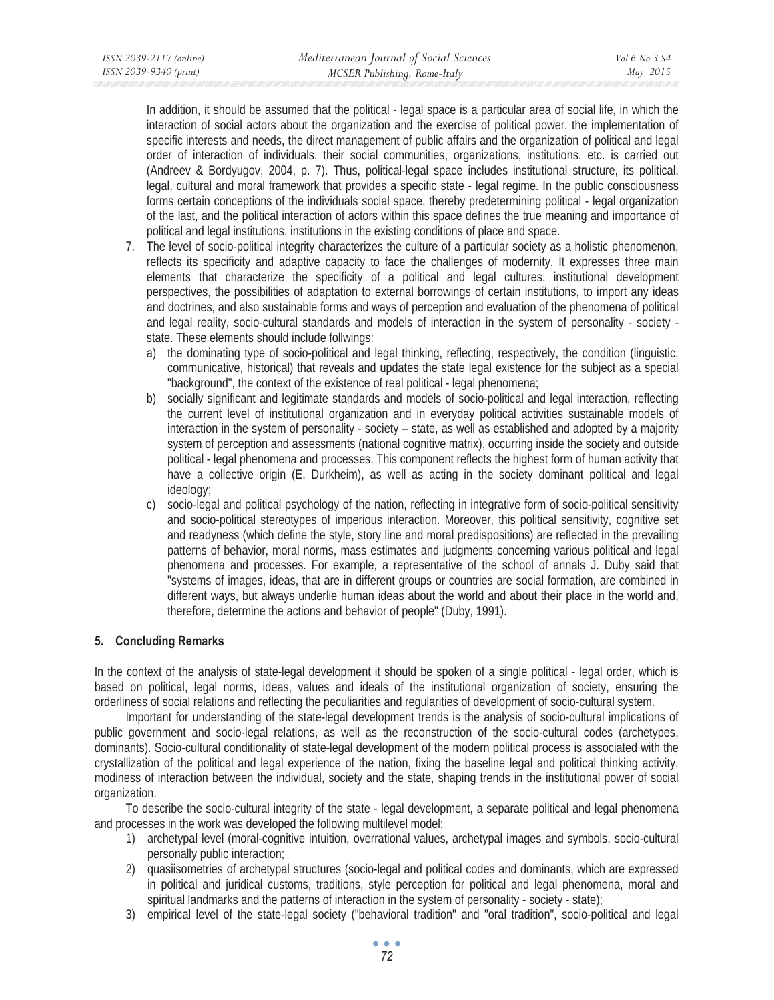In addition, it should be assumed that the political - legal space is a particular area of social life, in which the interaction of social actors about the organization and the exercise of political power, the implementation of specific interests and needs, the direct management of public affairs and the organization of political and legal order of interaction of individuals, their social communities, organizations, institutions, etc. is carried out (Andreev & Bordyugov, 2004, p. 7). Thus, political-legal space includes institutional structure, its political, legal, cultural and moral framework that provides a specific state - legal regime. In the public consciousness forms certain conceptions of the individuals social space, thereby predetermining political - legal organization of the last, and the political interaction of actors within this space defines the true meaning and importance of political and legal institutions, institutions in the existing conditions of place and space.

- 7. The level of socio-political integrity characterizes the culture of a particular society as a holistic phenomenon, reflects its specificity and adaptive capacity to face the challenges of modernity. It expresses three main elements that characterize the specificity of a political and legal cultures, institutional development perspectives, the possibilities of adaptation to external borrowings of certain institutions, to import any ideas and doctrines, and also sustainable forms and ways of perception and evaluation of the phenomena of political and legal reality, socio-cultural standards and models of interaction in the system of personality - society state. These elements should include follwings:
	- a) the dominating type of socio-political and legal thinking, reflecting, respectively, the condition (linguistic, communicative, historical) that reveals and updates the state legal existence for the subject as a special "background", the context of the existence of real political - legal phenomena;
	- b) socially significant and legitimate standards and models of socio-political and legal interaction, reflecting the current level of institutional organization and in everyday political activities sustainable models of interaction in the system of personality - society – state, as well as established and adopted by a majority system of perception and assessments (national cognitive matrix), occurring inside the society and outside political - legal phenomena and processes. This component reflects the highest form of human activity that have a collective origin (E. Durkheim), as well as acting in the society dominant political and legal ideology;
	- c) socio-legal and political psychology of the nation, reflecting in integrative form of socio-political sensitivity and socio-political stereotypes of imperious interaction. Moreover, this political sensitivity, cognitive set and readyness (which define the style, story line and moral predispositions) are reflected in the prevailing patterns of behavior, moral norms, mass estimates and judgments concerning various political and legal phenomena and processes. For example, a representative of the school of annals J. Duby said that "systems of images, ideas, that are in different groups or countries are social formation, are combined in different ways, but always underlie human ideas about the world and about their place in the world and, therefore, determine the actions and behavior of people" (Duby, 1991).

# **5. Concluding Remarks**

In the context of the analysis of state-legal development it should be spoken of a single political - legal order, which is based on political, legal norms, ideas, values and ideals of the institutional organization of society, ensuring the orderliness of social relations and reflecting the peculiarities and regularities of development of socio-cultural system.

Important for understanding of the state-legal development trends is the analysis of socio-cultural implications of public government and socio-legal relations, as well as the reconstruction of the socio-cultural codes (archetypes, dominants). Socio-cultural conditionality of state-legal development of the modern political process is associated with the crystallization of the political and legal experience of the nation, fixing the baseline legal and political thinking activity, modiness of interaction between the individual, society and the state, shaping trends in the institutional power of social organization.

To describe the socio-cultural integrity of the state - legal development, a separate political and legal phenomena and processes in the work was developed the following multilevel model:

- 1) archetypal level (moral-cognitive intuition, overrational values, archetypal images and symbols, socio-cultural personally public interaction;
- 2) quasiisometries of archetypal structures (socio-legal and political codes and dominants, which are expressed in political and juridical customs, traditions, style perception for political and legal phenomena, moral and spiritual landmarks and the patterns of interaction in the system of personality - society - state);
- 3) empirical level of the state-legal society ("behavioral tradition" and "oral tradition", socio-political and legal